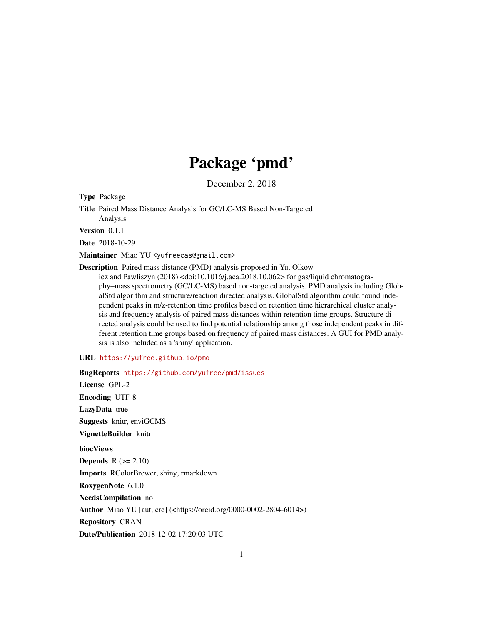## Package 'pmd'

December 2, 2018

Type Package

Title Paired Mass Distance Analysis for GC/LC-MS Based Non-Targeted Analysis

Version 0.1.1

Date 2018-10-29

Maintainer Miao YU <yufreecas@gmail.com>

Description Paired mass distance (PMD) analysis proposed in Yu, Olkow-

icz and Pawliszyn (2018) <doi:10.1016/j.aca.2018.10.062> for gas/liquid chromatography–mass spectrometry (GC/LC-MS) based non-targeted analysis. PMD analysis including GlobalStd algorithm and structure/reaction directed analysis. GlobalStd algorithm could found independent peaks in m/z-retention time profiles based on retention time hierarchical cluster analysis and frequency analysis of paired mass distances within retention time groups. Structure directed analysis could be used to find potential relationship among those independent peaks in different retention time groups based on frequency of paired mass distances. A GUI for PMD analysis is also included as a 'shiny' application.

#### URL <https://yufree.github.io/pmd>

BugReports <https://github.com/yufree/pmd/issues> License GPL-2 Encoding UTF-8 LazyData true Suggests knitr, enviGCMS VignetteBuilder knitr biocViews Depends  $R (= 2.10)$ Imports RColorBrewer, shiny, rmarkdown RoxygenNote 6.1.0 NeedsCompilation no Author Miao YU [aut, cre] (<https://orcid.org/0000-0002-2804-6014>) Repository CRAN Date/Publication 2018-12-02 17:20:03 UTC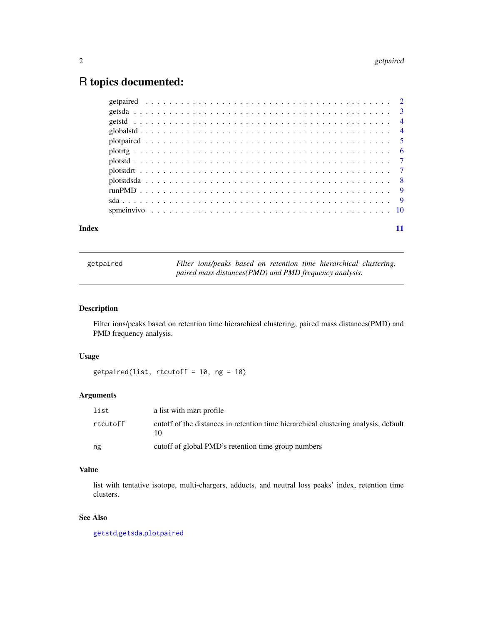### <span id="page-1-0"></span>R topics documented:

| Index |  |  |  |  |  |  |  |  |  |  |  |  |  |  |  |  |  |  |  |  |  |  |
|-------|--|--|--|--|--|--|--|--|--|--|--|--|--|--|--|--|--|--|--|--|--|--|

<span id="page-1-1"></span>getpaired *Filter ions/peaks based on retention time hierarchical clustering, paired mass distances(PMD) and PMD frequency analysis.*

#### Description

Filter ions/peaks based on retention time hierarchical clustering, paired mass distances(PMD) and PMD frequency analysis.

#### Usage

```
getpaired(list, rtcutoff = 10, ng = 10)
```
#### Arguments

| list     | a list with mzrt profile                                                            |
|----------|-------------------------------------------------------------------------------------|
| rtcutoff | cutoff of the distances in retention time hierarchical clustering analysis, default |
| ng       | cutoff of global PMD's retention time group numbers                                 |

#### Value

list with tentative isotope, multi-chargers, adducts, and neutral loss peaks' index, retention time clusters.

#### See Also

[getstd](#page-3-1),[getsda](#page-2-1),[plotpaired](#page-4-1)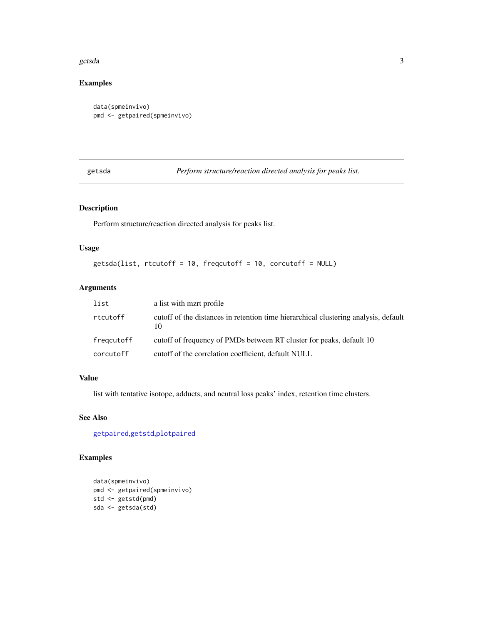#### <span id="page-2-0"></span>getsda 3

#### Examples

```
data(spmeinvivo)
pmd <- getpaired(spmeinvivo)
```
<span id="page-2-1"></span>getsda *Perform structure/reaction directed analysis for peaks list.*

#### Description

Perform structure/reaction directed analysis for peaks list.

#### Usage

```
getsda(list, rtcutoff = 10, freqcutoff = 10, corcutoff = NULL)
```
#### Arguments

| list       | a list with mart profile                                                                  |
|------------|-------------------------------------------------------------------------------------------|
| rtcutoff   | cutoff of the distances in retention time hierarchical clustering analysis, default<br>10 |
| fregcutoff | cutoff of frequency of PMDs between RT cluster for peaks, default 10                      |
| corcutoff  | cutoff of the correlation coefficient, default NULL                                       |

#### Value

list with tentative isotope, adducts, and neutral loss peaks' index, retention time clusters.

#### See Also

[getpaired](#page-1-1),[getstd](#page-3-1),[plotpaired](#page-4-1)

#### Examples

```
data(spmeinvivo)
pmd <- getpaired(spmeinvivo)
std <- getstd(pmd)
sda <- getsda(std)
```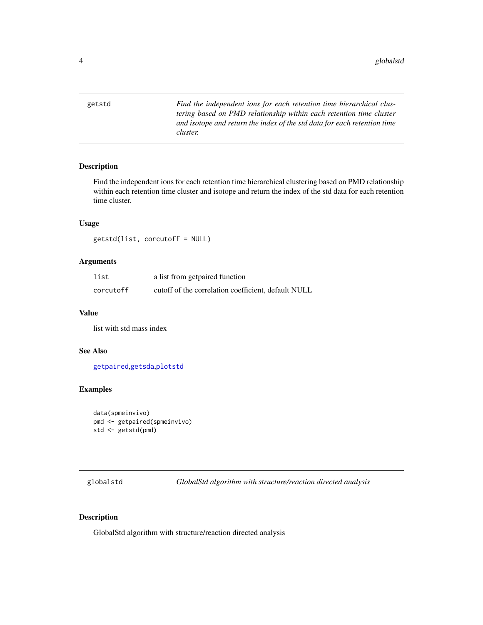<span id="page-3-1"></span><span id="page-3-0"></span>getstd *Find the independent ions for each retention time hierarchical clustering based on PMD relationship within each retention time cluster and isotope and return the index of the std data for each retention time cluster.*

#### Description

Find the independent ions for each retention time hierarchical clustering based on PMD relationship within each retention time cluster and isotope and return the index of the std data for each retention time cluster.

#### Usage

getstd(list, corcutoff = NULL)

#### Arguments

| list      | a list from getpaired function                      |
|-----------|-----------------------------------------------------|
| corcutoff | cutoff of the correlation coefficient, default NULL |

#### Value

list with std mass index

#### See Also

[getpaired](#page-1-1),[getsda](#page-2-1),[plotstd](#page-6-1)

#### Examples

```
data(spmeinvivo)
pmd <- getpaired(spmeinvivo)
std <- getstd(pmd)
```
<span id="page-3-2"></span>globalstd *GlobalStd algorithm with structure/reaction directed analysis*

#### Description

GlobalStd algorithm with structure/reaction directed analysis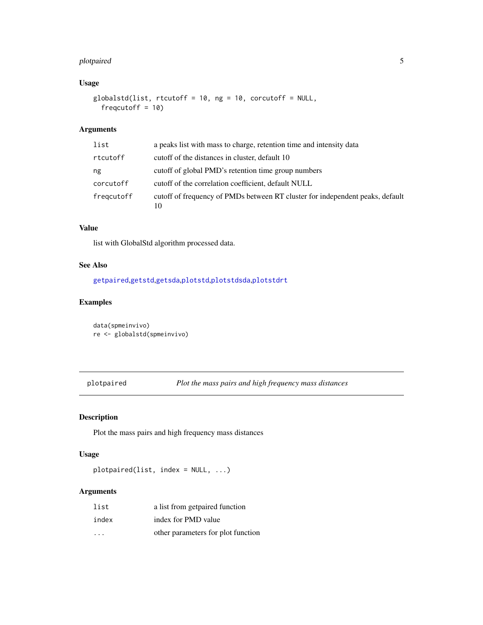#### <span id="page-4-0"></span>plotpaired 5

#### Usage

```
globalstd(list, rtcutoff = 10, ng = 10, corcutoff = NULL,
  freqcutoff = 10
```
#### Arguments

| list       | a peaks list with mass to charge, retention time and intensity data                 |
|------------|-------------------------------------------------------------------------------------|
| rtcutoff   | cutoff of the distances in cluster, default 10                                      |
| ng         | cutoff of global PMD's retention time group numbers                                 |
| corcutoff  | cutoff of the correlation coefficient, default NULL                                 |
| fregcutoff | cutoff of frequency of PMDs between RT cluster for independent peaks, default<br>10 |

#### Value

list with GlobalStd algorithm processed data.

#### See Also

[getpaired](#page-1-1),[getstd](#page-3-1),[getsda](#page-2-1),[plotstd](#page-6-1),[plotstdsda](#page-7-1),[plotstdrt](#page-6-2)

#### Examples

```
data(spmeinvivo)
re <- globalstd(spmeinvivo)
```
<span id="page-4-1"></span>plotpaired *Plot the mass pairs and high frequency mass distances*

#### Description

Plot the mass pairs and high frequency mass distances

#### Usage

```
plotpaired(list, index = NULL, ...)
```
#### Arguments

| list                    | a list from getpaired function     |
|-------------------------|------------------------------------|
| index                   | index for PMD value                |
| $\cdot$ $\cdot$ $\cdot$ | other parameters for plot function |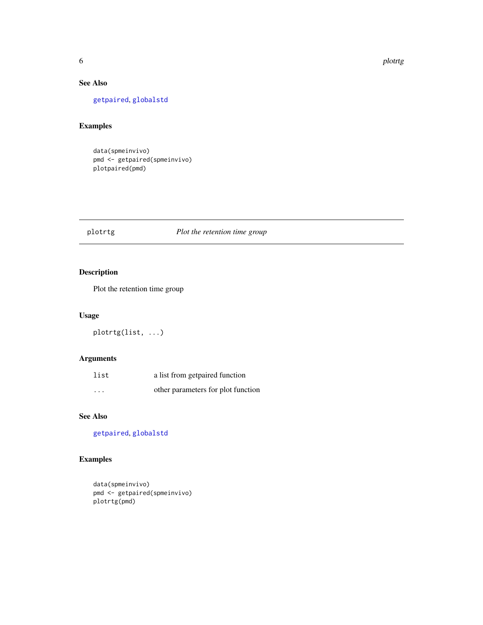#### <span id="page-5-0"></span>See Also

#### [getpaired](#page-1-1), [globalstd](#page-3-2)

#### Examples

data(spmeinvivo) pmd <- getpaired(spmeinvivo) plotpaired(pmd)

#### plotrtg *Plot the retention time group*

#### Description

Plot the retention time group

#### Usage

plotrtg(list, ...)

#### Arguments

| list                    | a list from getpaired function     |
|-------------------------|------------------------------------|
| $\cdot$ $\cdot$ $\cdot$ | other parameters for plot function |

#### See Also

[getpaired](#page-1-1), [globalstd](#page-3-2)

#### Examples

```
data(spmeinvivo)
pmd <- getpaired(spmeinvivo)
plotrtg(pmd)
```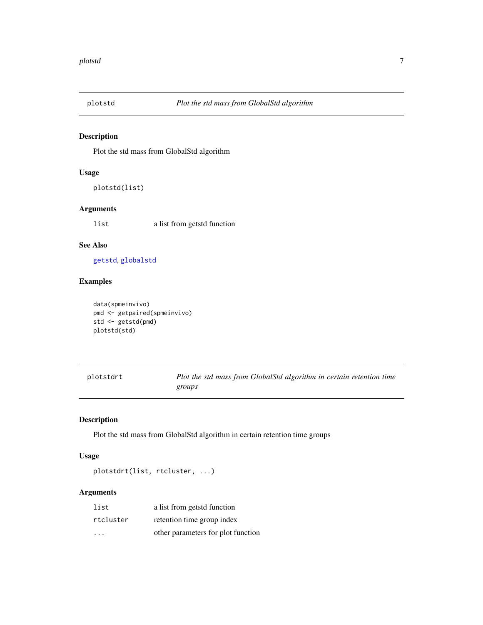<span id="page-6-1"></span><span id="page-6-0"></span>

#### Description

Plot the std mass from GlobalStd algorithm

#### Usage

plotstd(list)

#### Arguments

list a list from getstd function

#### See Also

[getstd](#page-3-1), [globalstd](#page-3-2)

#### Examples

```
data(spmeinvivo)
pmd <- getpaired(spmeinvivo)
std <- getstd(pmd)
plotstd(std)
```
<span id="page-6-2"></span>

| plotstdrt | Plot the std mass from GlobalStd algorithm in certain retention time |
|-----------|----------------------------------------------------------------------|
|           | groups                                                               |

#### Description

Plot the std mass from GlobalStd algorithm in certain retention time groups

#### Usage

```
plotstdrt(list, rtcluster, ...)
```
#### Arguments

| list      | a list from getstd function        |
|-----------|------------------------------------|
| rtcluster | retention time group index         |
| .         | other parameters for plot function |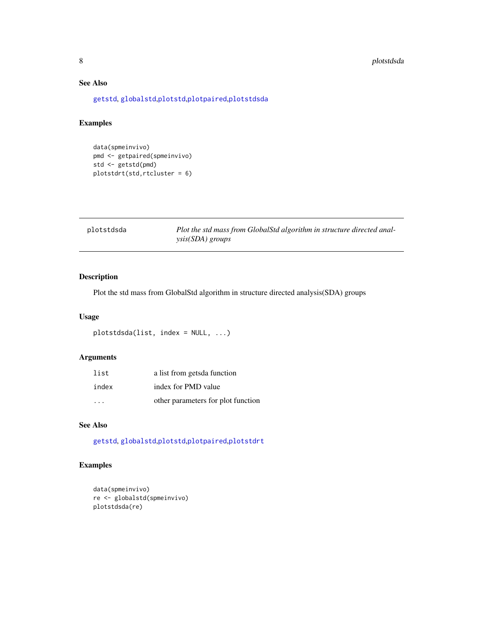#### <span id="page-7-0"></span>8 plotstdsda

#### See Also

[getstd](#page-3-1), [globalstd](#page-3-2),[plotstd](#page-6-1),[plotpaired](#page-4-1),[plotstdsda](#page-7-1)

#### Examples

data(spmeinvivo) pmd <- getpaired(spmeinvivo) std <- getstd(pmd) plotstdrt(std,rtcluster = 6)

<span id="page-7-1"></span>

| plotstdsda | Plot the std mass from GlobalStd algorithm in structure directed anal- |
|------------|------------------------------------------------------------------------|
|            | <i>ysis(SDA) groups</i>                                                |

#### Description

Plot the std mass from GlobalStd algorithm in structure directed analysis(SDA) groups

#### Usage

```
plotstdsda(list, index = NULL, ...)
```
#### Arguments

| list  | a list from getsda function        |
|-------|------------------------------------|
| index | index for PMD value                |
| .     | other parameters for plot function |

#### See Also

[getstd](#page-3-1), [globalstd](#page-3-2),[plotstd](#page-6-1),[plotpaired](#page-4-1),[plotstdrt](#page-6-2)

#### Examples

```
data(spmeinvivo)
re <- globalstd(spmeinvivo)
plotstdsda(re)
```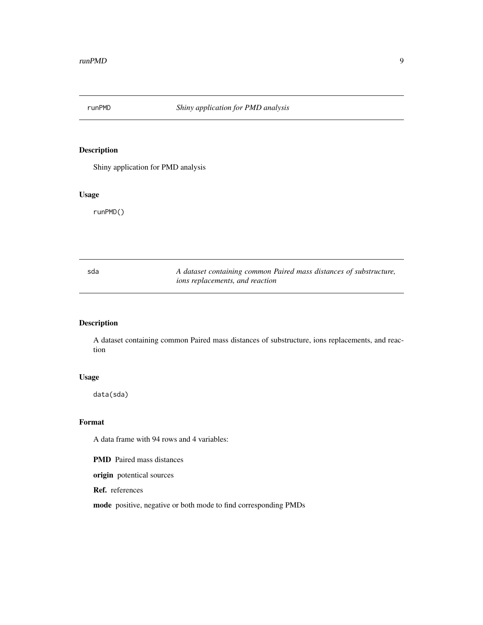<span id="page-8-0"></span>

#### Description

Shiny application for PMD analysis

#### Usage

runPMD()

| sda | A dataset containing common Paired mass distances of substructure, |
|-----|--------------------------------------------------------------------|
|     | <i>ions replacements, and reaction</i>                             |

#### Description

A dataset containing common Paired mass distances of substructure, ions replacements, and reaction

#### Usage

data(sda)

#### Format

A data frame with 94 rows and 4 variables:

PMD Paired mass distances

origin potentical sources

Ref. references

mode positive, negative or both mode to find corresponding PMDs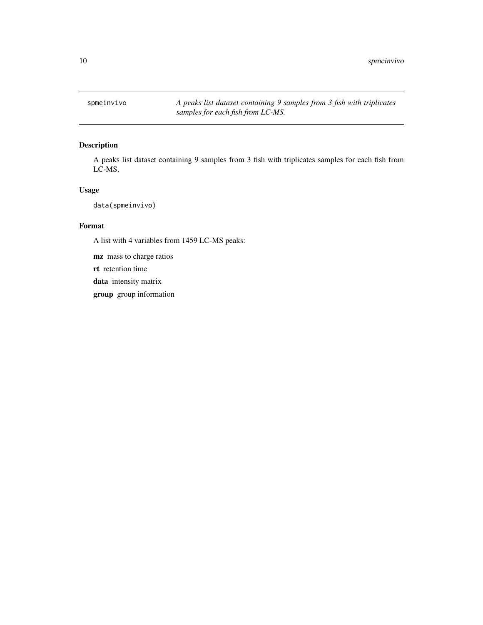<span id="page-9-0"></span>spmeinvivo *A peaks list dataset containing 9 samples from 3 fish with triplicates samples for each fish from LC-MS.*

#### Description

A peaks list dataset containing 9 samples from 3 fish with triplicates samples for each fish from LC-MS.

#### Usage

data(spmeinvivo)

#### Format

A list with 4 variables from 1459 LC-MS peaks:

mz mass to charge ratios

rt retention time

data intensity matrix

group group information